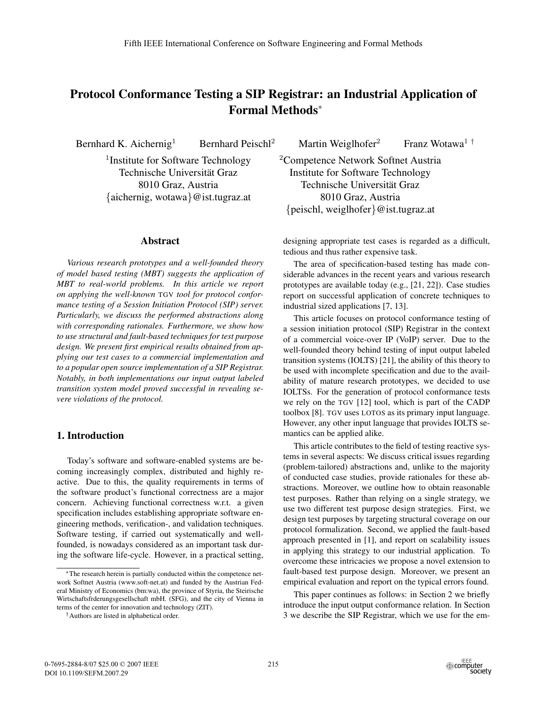# Protocol Conformance Testing a SIP Registrar: an Industrial Application of Formal Methods<sup>∗</sup>

Bernhard K. Aichernig<sup>1</sup> Bernhard Peischl<sup>2</sup> Martin Weiglhofer<sup>2</sup> Franz Wotawa<sup>1</sup><sup>†</sup>

<sup>1</sup>Institute for Software Technology Technische Universität Graz 8010 Graz, Austria {aichernig, wotawa}@ist.tugraz.at

### Abstract

*Various research prototypes and a well-founded theory of model based testing (MBT) suggests the application of MBT to real-world problems. In this article we report on applying the well-known* TGV *tool for protocol conformance testing of a Session Initiation Protocol (SIP) server. Particularly, we discuss the performed abstractions along with corresponding rationales. Furthermore, we show how to use structural and fault-based techniques for test purpose design. We present first empirical results obtained from applying our test cases to a commercial implementation and to a popular open source implementation of a SIP Registrar. Notably, in both implementations our input output labeled transition system model proved successful in revealing severe violations of the protocol.*

# 1. Introduction

Today's software and software-enabled systems are becoming increasingly complex, distributed and highly reactive. Due to this, the quality requirements in terms of the software product's functional correctness are a major concern. Achieving functional correctness w.r.t. a given specification includes establishing appropriate software engineering methods, verification-, and validation techniques. Software testing, if carried out systematically and wellfounded, is nowadays considered as an important task during the software life-cycle. However, in a practical setting, <sup>2</sup>Competence Network Softnet Austria Institute for Software Technology Technische Universität Graz 8010 Graz, Austria {peischl, weiglhofer}@ist.tugraz.at

designing appropriate test cases is regarded as a difficult, tedious and thus rather expensive task.

The area of specification-based testing has made considerable advances in the recent years and various research prototypes are available today (e.g., [21, 22]). Case studies report on successful application of concrete techniques to industrial sized applications [7, 13].

This article focuses on protocol conformance testing of a session initiation protocol (SIP) Registrar in the context of a commercial voice-over IP (VoIP) server. Due to the well-founded theory behind testing of input output labeled transition systems (IOLTS) [21], the ability of this theory to be used with incomplete specification and due to the availability of mature research prototypes, we decided to use IOLTSs. For the generation of protocol conformance tests we rely on the TGV [12] tool, which is part of the CADP toolbox [8]. TGV uses LOTOS as its primary input language. However, any other input language that provides IOLTS semantics can be applied alike.

This article contributes to the field of testing reactive systems in several aspects: We discuss critical issues regarding (problem-tailored) abstractions and, unlike to the majority of conducted case studies, provide rationales for these abstractions. Moreover, we outline how to obtain reasonable test purposes. Rather than relying on a single strategy, we use two different test purpose design strategies. First, we design test purposes by targeting structural coverage on our protocol formalization. Second, we applied the fault-based approach presented in [1], and report on scalability issues in applying this strategy to our industrial application. To overcome these intricacies we propose a novel extension to fault-based test purpose design. Moreover, we present an empirical evaluation and report on the typical errors found.

This paper continues as follows: in Section 2 we briefly introduce the input output conformance relation. In Section 3 we describe the SIP Registrar, which we use for the em-

<sup>∗</sup>The research herein is partially conducted within the competence network Softnet Austria (www.soft-net.at) and funded by the Austrian Federal Ministry of Economics (bm:wa), the province of Styria, the Steirische Wirtschaftsfrderungsgesellschaft mbH. (SFG), and the city of Vienna in terms of the center for innovation and technology (ZIT).

<sup>†</sup>Authors are listed in alphabetical order.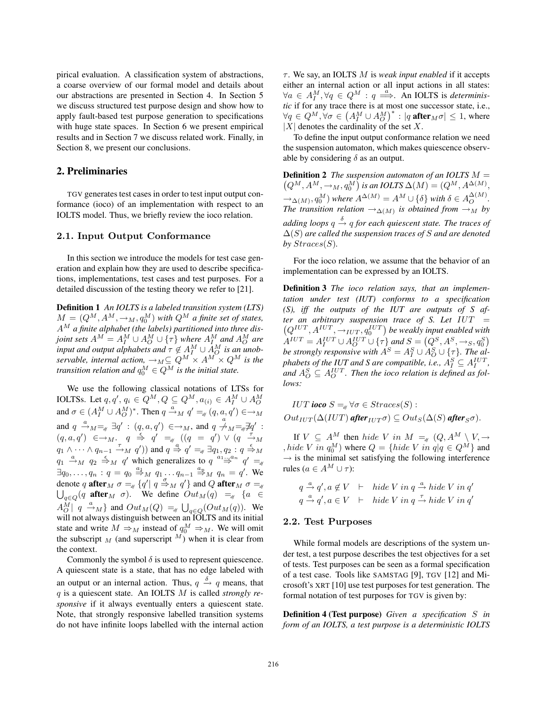pirical evaluation. A classification system of abstractions, a coarse overview of our formal model and details about our abstractions are presented in Section 4. In Section 5 we discuss structured test purpose design and show how to apply fault-based test purpose generation to specifications with huge state spaces. In Section 6 we present empirical results and in Section 7 we discuss related work. Finally, in Section 8, we present our conclusions.

## 2. Preliminaries

TGV generates test cases in order to test input output conformance (ioco) of an implementation with respect to an IOLTS model. Thus, we briefly review the ioco relation.

### 2.1. Input Output Conformance

In this section we introduce the models for test case generation and explain how they are used to describe specifications, implementations, test cases and test purposes. For a detailed discussion of the testing theory we refer to [21].

Definition 1 *An IOLTS is a labeled transition system (LTS)*  $M = (Q^M, A^M, \rightarrow_M, q_0^M)$  with  $Q^M$  *a finite set of states,* A<sup>M</sup> *a finite alphabet (the labels) partitioned into three disjoint sets*  $A^M = A^M_I \cup A^M_O \cup \{\tau\}$  *where*  $A^M_I$  *and*  $A^M_O$  *are input and output alphabets and*  $\tau \notin A_I^M \cup A_O^M$  *is an unobservable, internal action,*  $\rightarrow_M\subseteq Q^M\times A^M\times Q^M$  *is the transition relation and*  $q_0^M \in Q^M$  *is the initial state.* 

We use the following classical notations of LTSs for IOLTSs. Let  $q, q',\, q_i\in Q^M, Q\subseteq Q^M, a_{(i)}\in A^M_I\cup A^M_O$ and  $\sigma \in (A_I^M \cup A_O^M)^*$ . Then  $q \stackrel{a}{\rightarrow}_M q' =_{q'} (q, a, q') \in \rightarrow_M$ and  $q \stackrel{a}{\rightarrow}_M =_{q} \exists q' : (q, a, q') \in \rightarrow_M$ , and  $q \stackrel{a}{\rightarrow}_M =_{q'} \exists q'$ :  $(q, a, q') \in \rightarrow_M$ .  $q \stackrel{\epsilon}{\Rightarrow} q' =_{q} ( (q = q') \vee (q \stackrel{\tau}{\rightarrow}_M$  $q_1 \wedge \cdots \wedge q_{n-1} \stackrel{\tau}{\rightarrow}_M q')$  and  $q \stackrel{a}{\Rightarrow} q' =_q q_1, q_2 : q \stackrel{\epsilon}{\Rightarrow}_M$  $q_1 \stackrel{a}{\rightarrow}_M q_2 \stackrel{\epsilon}{\Rightarrow}_M q'$  which generalizes to  $q \stackrel{a_1...a_n}{\Rightarrow}_q q' =$  $\exists q_0, \ldots, q_n : q = q_0 \stackrel{a_1}{\Rightarrow}_M q_1 \ldots q_{n-1} \stackrel{a_n}{\Rightarrow}_M q_n = q'.$  We denote q **after**  $\alpha$   $\sigma$  =  $\{q' | q \stackrel{\sigma}{\Rightarrow} M q'\}$ U } and *Q* **after**<sub>*M*</sub>  $\sigma =_{d}$  $q \in Q$  (q after<sub>M</sub>  $\sigma$ ). We define  $Out_M(q) =_q$  {a  $\in$  $A_O^M \left[ q \stackrel{a}{\rightarrow}_M \right]$  and  $Out_M(Q) =_d \bigcup_{q \in Q} (Out_M(q))$ . We will not always distinguish between an IOLTS and its initial state and write  $M \Rightarrow_M$  instead of  $q_0^M \Rightarrow_M$ . We will omit the subscript  $_M$  (and superscript  $^M$ ) when it is clear from the context.

Commonly the symbol  $\delta$  is used to represent quiescence. A quiescent state is a state, that has no edge labeled with an output or an internal action. Thus,  $q \stackrel{\delta}{\rightarrow} q$  means, that q is a quiescent state. An IOLTS M is called *strongly responsive* if it always eventually enters a quiescent state. Note, that strongly responsive labelled transition systems do not have infinite loops labelled with the internal action  $\tau$ . We say, an IOLTS M is *weak input enabled* if it accepts either an internal action or all input actions in all states:  $\forall a \in A_I^M, \forall q \in Q^M : q \stackrel{a}{\implies}$ . An IOLTS is *deterministic* if for any trace there is at most one successor state, i.e.,  $\forall q \in Q^{M}, \forall \sigma \in \left( A^{M}_{I} \cup A^{M}_{O} \right)^{*} : \left| q \right. \mathbf{after}_{M} \sigma \right| \leq 1,$  where  $|X|$  denotes the cardinality of the set X.

To define the input output conformance relation we need the suspension automaton, which makes quiescence observable by considering  $\delta$  as an output.

Definition 2 *The suspension automaton of an IOLTS* M =  $(Q^M, A^M, \to_M, q_0^M)$  is an IOLTS  $\Delta(M) = (Q^M, A^{\Delta(M)},$  $\rightarrow_{\Delta(M)}, q_0^M)$  where  $A^{\Delta(M)} = A^M \cup {\delta}$  with  $\delta \in A_O^{\Delta(M)}$ . *The transition relation*  $\rightarrow_{\Delta(M)}$  *is obtained from*  $\rightarrow_M$  *by* adding loops  $q \stackrel{\delta}{\rightarrow} q$  for each quiescent state. The traces of ∆(S) *are called the suspension traces of* S *and are denoted* by  $Straces(S)$ *.* 

For the ioco relation, we assume that the behavior of an implementation can be expressed by an IOLTS.

Definition 3 *The ioco relation says, that an implementation under test (IUT) conforms to a specification (S), iff the outputs of the IUT are outputs of S after an arbitrary suspension trace of S. Let* IUT =  $\left(Q^{IUT},A^{IUT},\rightarrow_{IUT},q^{IUT}_0\right)$  be weakly input enabled with  $A^{IUT} = A_I^{IUT} \cup A_O^{IUT} \cup {\tau}$  and  $S = (Q^S, A^S, \rightarrow_S, q_0^S)$ *be strongly responsive with*  $A^S = A_I^S \cup A_O^S \cup \{\tau\}$ *. The alphabets of the IUT and S are compatible, i.e.,*  $A_I^S \subseteq A_I^{IUT}$ , and  $A_O^S \subseteq A_O^{IUT}$ . Then the ioco relation is defined as fol*lows:*

*IUT ioco*  $S =_{df} \forall \sigma \in \text{Straces}(S)$ :  $Out_{IUT}(\Delta(IUT)$  after  $_{IUT}\sigma$ )  $\subseteq Out_S(\Delta(S)$  after  $_S\sigma)$ .

If  $V \subseteq A^M$  then hide V in  $M =_{df} (Q, A^M \setminus V, \rightarrow$ , hide V in  $q_0^M$ ) where  $Q = \{ hide V in q | q \in Q^M \}$  and  $\rightarrow$  is the minimal set satisfying the following interference rules ( $a \in A^M \cup \tau$ ):

$$
q \stackrel{a}{\rightarrow} q', a \notin V \quad \vdash \quad hide \; V \; in \; q \stackrel{a}{\rightarrow} hide \; V \; in \; q' q \stackrel{a}{\rightarrow} q', a \in V \; \vdash \quad hide \; V \; in \; q \stackrel{\tau}{\rightarrow} hide \; V \; in \; q'
$$

### 2.2. Test Purposes

While formal models are descriptions of the system under test, a test purpose describes the test objectives for a set of tests. Test purposes can be seen as a formal specification of a test case. Tools like SAMSTAG [9], TGV [12] and Microsoft's XRT [10] use test purposes for test generation. The formal notation of test purposes for TGV is given by:

Definition 4 (Test purpose) *Given a specification* S *in form of an IOLTS, a test purpose is a deterministic IOLTS*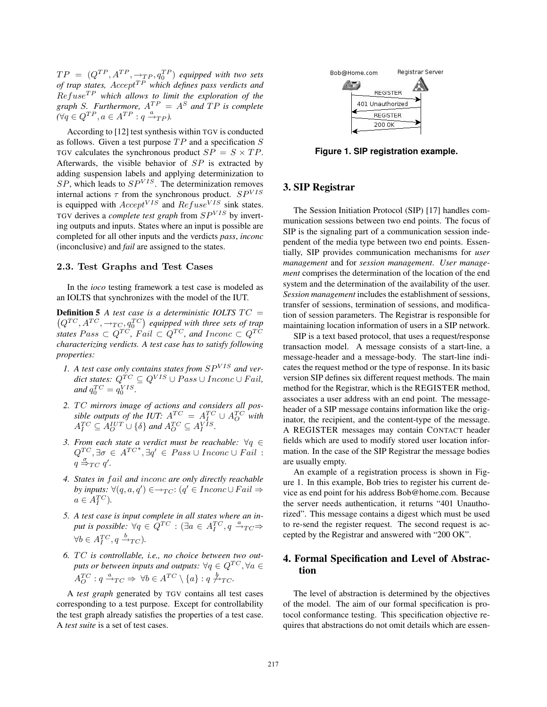$TP~=~(Q^{TP}, A^{TP}, \rightarrow_{TP}, q_0^{TP})$  equipped with two sets  $of$  trap states,  $Accept^{TP}$  which defines pass verdicts and  $Refuse<sup>TP</sup>$  which allows to limit the exploration of the *graph* S. Furthermore,  $A^{TP} = A^S$  and TP *is complete*  $\overrightarrow{(} \forall q \in Q^{TP}, a \in A^{TP} : q \stackrel{a}{\rightarrow}_{TP}).$ 

According to [12] test synthesis within TGV is conducted as follows. Given a test purpose  $TP$  and a specification  $S$ TGV calculates the synchronous product  $SP = S \times TP$ . Afterwards, the visible behavior of SP is extracted by adding suspension labels and applying determinization to  $SP$ , which leads to  $SP<sup>VIS</sup>$ . The determinization removes internal actions  $\tau$  from the synchronous product.  $SP<sup>VIS</sup>$ is equipped with  $Accept<sup>VIS</sup>$  and  $Refuse<sup>VIS</sup>$  sink states. TGV derives a *complete test graph* from  $SP<sup>VIS</sup>$  by inverting outputs and inputs. States where an input is possible are completed for all other inputs and the verdicts *pass*, *inconc* (inconclusive) and *fail* are assigned to the states.

#### 2.3. Test Graphs and Test Cases

In the *ioco* testing framework a test case is modeled as an IOLTS that synchronizes with the model of the IUT.

**Definition 5** *A test case is a deterministic IOLTS*  $TC =$  $(Q^{TC}, A^{TC}, \rightarrow_{TC}, q_0^{TC})$  equipped with three sets of trap *states*  $Pass \subset Q^{TC}$ ,  $Final \subset Q^{TC}$ , and  $Inconc \subset Q^{TC}$ *characterizing verdicts. A test case has to satisfy following properties:*

- 1. A test case only contains states from  $SP<sup>VIS</sup>$  and ver- $\emph{dict states: } Q^{TC} \subseteq Q^{VIS} \cup Pass \cup Income \cup Fail,$ *and*  $q_0^{TC} = q_0^{VIS}$ .
- 2. TC mirrors image of actions and considers all possible outputs of the *IUT*:  $A^{TC} = A^{TC}_{I} \cup A^{TC}_{O}$  with  $A_I^{TC} \subseteq A_O^{IUT} \cup {\delta}$  and  $A_O^{TC} \subseteq A_I^{VIS}$ .
- *3. From each state a verdict must be reachable:* ∀q ∈  $Q^{TC}, \exists \sigma \in A^{TC^*}, \exists q' \in Pass \cup Income \cup Fail$ :  $q \stackrel{\sigma}{\Rightarrow}_{TC} q'$ .
- *4. States in* f ail *and* inconc *are only directly reachable by inputs:*  $\forall (q, a, q') \in \rightarrow_{TC} : (q' \in Income \cup Fall \Rightarrow$  $a \in A_I^{TC}$ ).
- *5. A test case is input complete in all states where an in*put is possible:  $\forall q \in \hat{Q}^{TC} : (\exists a \in A^{TC}_I, q \xrightarrow{a}_{TC} \Rightarrow$  $\forall b \in A_I^{TC}, q \xrightarrow{b} {}_{TC}$ ).
- 6. TC is controllable, i.e., no choice between two out*puts or between inputs and outputs:*  $\forall q \in Q^{TC}, \forall a \in Q^{TC}$  $A_C^{TC}: q \stackrel{a}{\rightarrow}_{TC} \Rightarrow \forall b \in A^{TC} \setminus \{a\}: q \not\stackrel{b}{\rightarrow}_{TC}.$

A *test graph* generated by TGV contains all test cases corresponding to a test purpose. Except for controllability the test graph already satisfies the properties of a test case. A *test suite* is a set of test cases.



**Figure 1. SIP registration example.**

### 3. SIP Registrar

The Session Initiation Protocol (SIP) [17] handles communication sessions between two end points. The focus of SIP is the signaling part of a communication session independent of the media type between two end points. Essentially, SIP provides communication mechanisms for *user management* and for *session management*. *User management* comprises the determination of the location of the end system and the determination of the availability of the user. *Session management* includes the establishment of sessions, transfer of sessions, termination of sessions, and modification of session parameters. The Registrar is responsible for maintaining location information of users in a SIP network.

SIP is a text based protocol, that uses a request/response transaction model. A message consists of a start-line, a message-header and a message-body. The start-line indicates the request method or the type of response. In its basic version SIP defines six different request methods. The main method for the Registrar, which is the REGISTER method, associates a user address with an end point. The messageheader of a SIP message contains information like the originator, the recipient, and the content-type of the message. A REGISTER messages may contain CONTACT header fields which are used to modify stored user location information. In the case of the SIP Registrar the message bodies are usually empty.

An example of a registration process is shown in Figure 1. In this example, Bob tries to register his current device as end point for his address Bob@home.com. Because the server needs authentication, it returns "401 Unauthorized". This message contains a digest which must be used to re-send the register request. The second request is accepted by the Registrar and answered with "200 OK".

# 4. Formal Specification and Level of Abstraction

The level of abstraction is determined by the objectives of the model. The aim of our formal specification is protocol conformance testing. This specification objective requires that abstractions do not omit details which are essen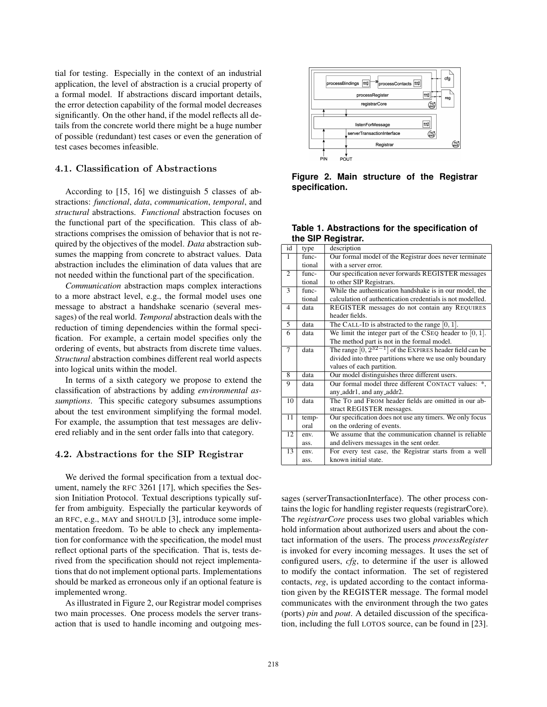tial for testing. Especially in the context of an industrial application, the level of abstraction is a crucial property of a formal model. If abstractions discard important details, the error detection capability of the formal model decreases significantly. On the other hand, if the model reflects all details from the concrete world there might be a huge number of possible (redundant) test cases or even the generation of test cases becomes infeasible.

# 4.1. Classification of Abstractions

According to [15, 16] we distinguish 5 classes of abstractions: *functional*, *data*, *communication*, *temporal*, and *structural* abstractions. *Functional* abstraction focuses on the functional part of the specification. This class of abstractions comprises the omission of behavior that is not required by the objectives of the model. *Data* abstraction subsumes the mapping from concrete to abstract values. Data abstraction includes the elimination of data values that are not needed within the functional part of the specification.

*Communication* abstraction maps complex interactions to a more abstract level, e.g., the formal model uses one message to abstract a handshake scenario (several messages) of the real world. *Temporal* abstraction deals with the reduction of timing dependencies within the formal specification. For example, a certain model specifies only the ordering of events, but abstracts from discrete time values. *Structural* abstraction combines different real world aspects into logical units within the model.

In terms of a sixth category we propose to extend the classification of abstractions by adding *environmental assumptions*. This specific category subsumes assumptions about the test environment simplifying the formal model. For example, the assumption that test messages are delivered reliably and in the sent order falls into that category.

#### 4.2. Abstractions for the SIP Registrar

We derived the formal specification from a textual document, namely the RFC 3261 [17], which specifies the Session Initiation Protocol. Textual descriptions typically suffer from ambiguity. Especially the particular keywords of an RFC, e.g., MAY and SHOULD [3], introduce some implementation freedom. To be able to check any implementation for conformance with the specification, the model must reflect optional parts of the specification. That is, tests derived from the specification should not reject implementations that do not implement optional parts. Implementations should be marked as erroneous only if an optional feature is implemented wrong.

As illustrated in Figure 2, our Registrar model comprises two main processes. One process models the server transaction that is used to handle incoming and outgoing mes-



**Figure 2. Main structure of the Registrar specification.**

### **Table 1. Abstractions for the specification of the SIP Registrar.**

| id             | type   | description                                                  |
|----------------|--------|--------------------------------------------------------------|
| 1              | func-  | Our formal model of the Registrar does never terminate       |
|                | tional | with a server error.                                         |
| $\overline{c}$ | func-  | Our specification never forwards REGISTER messages           |
|                | tional | to other SIP Registrars.                                     |
| 3              | func-  | While the authentication handshake is in our model, the      |
|                | tional | calculation of authentication credentials is not modelled.   |
| 4              | data   | REGISTER messages do not contain any REQUIRES                |
|                |        | header fields.                                               |
| 5              | data   | The CALL-ID is abstracted to the range $[0, 1]$ .            |
| 6              | data   | We limit the integer part of the CSEQ header to $[0, 1]$ .   |
|                |        | The method part is not in the formal model.                  |
| 7              | data   | The range $[0, 2^{32-1}]$ of the EXPIRES header field can be |
|                |        | divided into three partitions where we use only boundary     |
|                |        | values of each partition.                                    |
| 8              | data   | Our model distinguishes three different users.               |
| 9              | data   | Our formal model three different CONTACT values: *,          |
|                |        | any_addr1, and any_addr2.                                    |
| 10             | data   | The TO and FROM header fields are omitted in our ab-         |
|                |        | stract REGISTER messages.                                    |
| 11             | temp-  | Our specification does not use any timers. We only focus     |
|                | oral   | on the ordering of events.                                   |
| 12             | env.   | We assume that the communication channel is reliable         |
|                | ass.   | and delivers messages in the sent order.                     |
| 13             | env.   | For every test case, the Registrar starts from a well        |
|                | ass.   | known initial state.                                         |

sages (serverTransactionInterface). The other process contains the logic for handling register requests (registrarCore). The *registrarCore* process uses two global variables which hold information about authorized users and about the contact information of the users. The process *processRegister* is invoked for every incoming messages. It uses the set of configured users, *cfg*, to determine if the user is allowed to modify the contact information. The set of registered contacts, *reg*, is updated according to the contact information given by the REGISTER message. The formal model communicates with the environment through the two gates (ports) *pin* and *pout*. A detailed discussion of the specification, including the full LOTOS source, can be found in [23].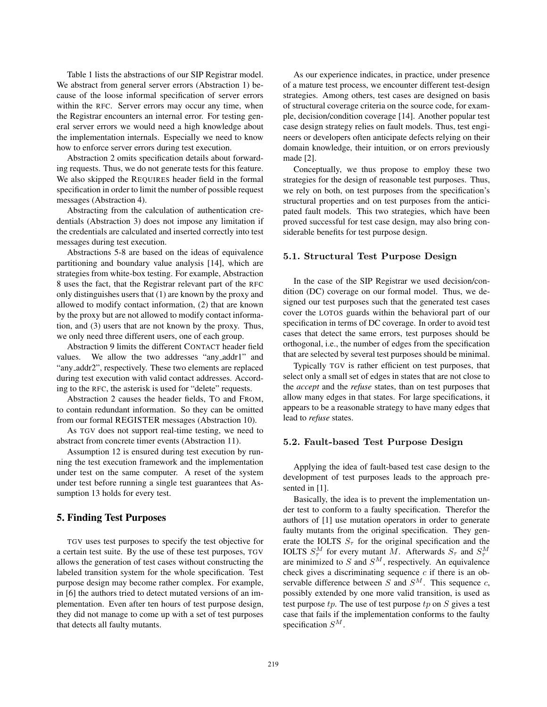Table 1 lists the abstractions of our SIP Registrar model. We abstract from general server errors (Abstraction 1) because of the loose informal specification of server errors within the RFC. Server errors may occur any time, when the Registrar encounters an internal error. For testing general server errors we would need a high knowledge about the implementation internals. Especially we need to know how to enforce server errors during test execution.

Abstraction 2 omits specification details about forwarding requests. Thus, we do not generate tests for this feature. We also skipped the REQUIRES header field in the formal specification in order to limit the number of possible request messages (Abstraction 4).

Abstracting from the calculation of authentication credentials (Abstraction 3) does not impose any limitation if the credentials are calculated and inserted correctly into test messages during test execution.

Abstractions 5-8 are based on the ideas of equivalence partitioning and boundary value analysis [14], which are strategies from white-box testing. For example, Abstraction 8 uses the fact, that the Registrar relevant part of the RFC only distinguishes users that (1) are known by the proxy and allowed to modify contact information, (2) that are known by the proxy but are not allowed to modify contact information, and (3) users that are not known by the proxy. Thus, we only need three different users, one of each group.

Abstraction 9 limits the different CONTACT header field values. We allow the two addresses "any addr1" and "any addr2", respectively. These two elements are replaced during test execution with valid contact addresses. According to the RFC, the asterisk is used for "delete" requests.

Abstraction 2 causes the header fields, TO and FROM, to contain redundant information. So they can be omitted from our formal REGISTER messages (Abstraction 10).

As TGV does not support real-time testing, we need to abstract from concrete timer events (Abstraction 11).

Assumption 12 is ensured during test execution by running the test execution framework and the implementation under test on the same computer. A reset of the system under test before running a single test guarantees that Assumption 13 holds for every test.

# 5. Finding Test Purposes

TGV uses test purposes to specify the test objective for a certain test suite. By the use of these test purposes, TGV allows the generation of test cases without constructing the labeled transition system for the whole specification. Test purpose design may become rather complex. For example, in [6] the authors tried to detect mutated versions of an implementation. Even after ten hours of test purpose design, they did not manage to come up with a set of test purposes that detects all faulty mutants.

As our experience indicates, in practice, under presence of a mature test process, we encounter different test-design strategies. Among others, test cases are designed on basis of structural coverage criteria on the source code, for example, decision/condition coverage [14]. Another popular test case design strategy relies on fault models. Thus, test engineers or developers often anticipate defects relying on their domain knowledge, their intuition, or on errors previously made [2].

Conceptually, we thus propose to employ these two strategies for the design of reasonable test purposes. Thus, we rely on both, on test purposes from the specification's structural properties and on test purposes from the anticipated fault models. This two strategies, which have been proved successful for test case design, may also bring considerable benefits for test purpose design.

#### 5.1. Structural Test Purpose Design

In the case of the SIP Registrar we used decision/condition (DC) coverage on our formal model. Thus, we designed our test purposes such that the generated test cases cover the LOTOS guards within the behavioral part of our specification in terms of DC coverage. In order to avoid test cases that detect the same errors, test purposes should be orthogonal, i.e., the number of edges from the specification that are selected by several test purposes should be minimal.

Typically TGV is rather efficient on test purposes, that select only a small set of edges in states that are not close to the *accept* and the *refuse* states, than on test purposes that allow many edges in that states. For large specifications, it appears to be a reasonable strategy to have many edges that lead to *refuse* states.

#### 5.2. Fault-based Test Purpose Design

Applying the idea of fault-based test case design to the development of test purposes leads to the approach presented in [1].

Basically, the idea is to prevent the implementation under test to conform to a faulty specification. Therefor the authors of [1] use mutation operators in order to generate faulty mutants from the original specification. They generate the IOLTS  $S_{\tau}$  for the original specification and the IOLTS  $S_{\tau}^M$  for every mutant M. Afterwards  $S_{\tau}$  and  $S_{\tau}^M$ are minimized to  $S$  and  $S<sup>M</sup>$ , respectively. An equivalence check gives a discriminating sequence  $c$  if there is an observable difference between  $S$  and  $S^M$ . This sequence  $c$ , possibly extended by one more valid transition, is used as test purpose  $tp$ . The use of test purpose  $tp$  on  $S$  gives a test case that fails if the implementation conforms to the faulty specification  $S^M$ .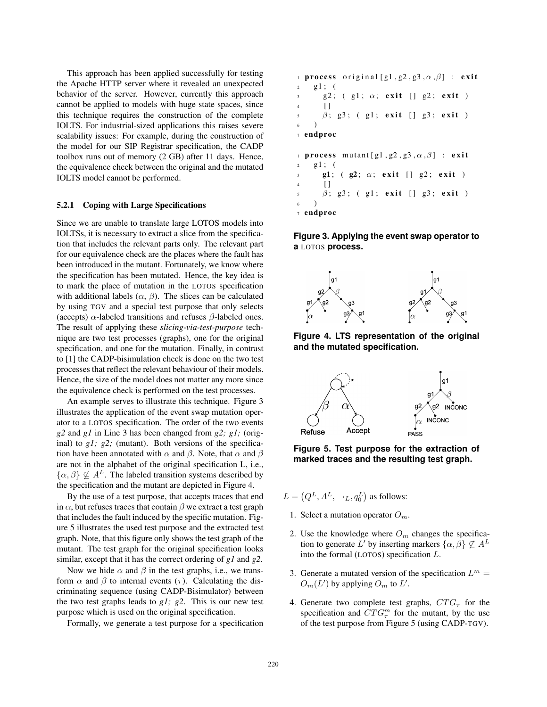This approach has been applied successfully for testing the Apache HTTP server where it revealed an unexpected behavior of the server. However, currently this approach cannot be applied to models with huge state spaces, since this technique requires the construction of the complete IOLTS. For industrial-sized applications this raises severe scalability issues: For example, during the construction of the model for our SIP Registrar specification, the CADP toolbox runs out of memory (2 GB) after 11 days. Hence, the equivalence check between the original and the mutated IOLTS model cannot be performed.

#### 5.2.1 Coping with Large Specifications

Since we are unable to translate large LOTOS models into IOLTSs, it is necessary to extract a slice from the specification that includes the relevant parts only. The relevant part for our equivalence check are the places where the fault has been introduced in the mutant. Fortunately, we know where the specification has been mutated. Hence, the key idea is to mark the place of mutation in the LOTOS specification with additional labels  $(\alpha, \beta)$ . The slices can be calculated by using TGV and a special test purpose that only selects (accepts)  $\alpha$ -labeled transitions and refuses  $\beta$ -labeled ones. The result of applying these *slicing-via-test-purpose* technique are two test processes (graphs), one for the original specification, and one for the mutation. Finally, in contrast to [1] the CADP-bisimulation check is done on the two test processes that reflect the relevant behaviour of their models. Hence, the size of the model does not matter any more since the equivalence check is performed on the test processes.

An example serves to illustrate this technique. Figure 3 illustrates the application of the event swap mutation operator to a LOTOS specification. The order of the two events *g2* and *g1* in Line 3 has been changed from *g2; g1;* (original) to *g1*; *g2*; (mutant). Both versions of the specification have been annotated with  $\alpha$  and  $\beta$ . Note, that  $\alpha$  and  $\beta$ are not in the alphabet of the original specification L, i.e.,  $\{\alpha,\beta\}\nsubseteq A^L$ . The labeled transition systems described by the specification and the mutant are depicted in Figure 4.

By the use of a test purpose, that accepts traces that end in  $\alpha$ , but refuses traces that contain  $\beta$  we extract a test graph that includes the fault induced by the specific mutation. Figure 5 illustrates the used test purpose and the extracted test graph. Note, that this figure only shows the test graph of the mutant. The test graph for the original specification looks similar, except that it has the correct ordering of *g1* and *g2*.

Now we hide  $\alpha$  and  $\beta$  in the test graphs, i.e., we transform  $\alpha$  and  $\beta$  to internal events (τ). Calculating the discriminating sequence (using CADP-Bisimulator) between the two test graphs leads to *g1; g2*. This is our new test purpose which is used on the original specification.

Formally, we generate a test purpose for a specification

```
1 process original [g1, g2, g3, \alpha, \beta] : exit
    g1; (
      g2; (g1; \alpha; exit [] g2; exit )
      \Box\beta; g3; (g1; exit [] g3; exit )
6 )
 endproc
1 process mutant [g1, g2, g3, \alpha, \beta] : exit
2 \times g1; (
      g1; (g2; \alpha; exit [] g2; exit )
       \lceil \rceil\beta; g3; (g1; exit [] g3; exit )
6 )
7 endproc
```
**Figure 3. Applying the event swap operator to a** LOTOS **process.**



**Figure 4. LTS representation of the original and the mutated specification.**



**Figure 5. Test purpose for the extraction of marked traces and the resulting test graph.**

- $L = \left( Q^L, A^L, \rightarrow_L, q_0^L \right)$  as follows:
	- 1. Select a mutation operator  $O_m$ .
	- 2. Use the knowledge where  $O_m$  changes the specification to generate L' by inserting markers  $\{\alpha, \beta\} \nsubseteq A^L$ into the formal (LOTOS) specification L.
	- 3. Generate a mutated version of the specification  $L^m$  =  $O_m(L')$  by applying  $O_m$  to  $L'$ .
	- 4. Generate two complete test graphs,  $CTG<sub>\tau</sub>$  for the specification and  $CTG^m_\tau$  for the mutant, by the use of the test purpose from Figure 5 (using CADP-TGV).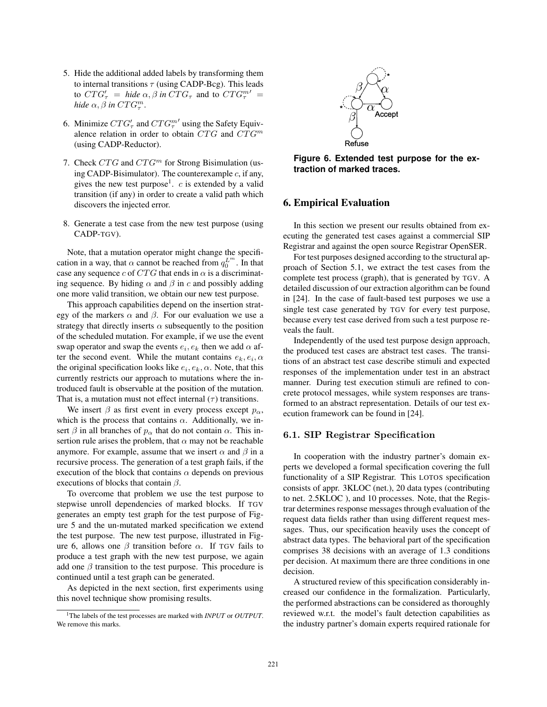- 5. Hide the additional added labels by transforming them to internal transitions  $\tau$  (using CADP-Bcg). This leads to  $CTG'_{\tau} = \text{ hide } \alpha, \beta \text{ in } CTG_{\tau} \text{ and to } CTG^{m'}_{\tau} =$ *hide*  $\alpha$ ,  $\beta$  *in*  $CTG^m_\tau$ .
- 6. Minimize  $CTG'_{\tau}$  and  $CTG'''_{\tau}$ ' using the Safety Equivalence relation in order to obtain  $CTG$  and  $CTG^m$ (using CADP-Reductor).
- 7. Check  $CTG$  and  $CTG^m$  for Strong Bisimulation (using CADP-Bisimulator). The counterexample  $c$ , if any, gives the new test purpose<sup>1</sup>.  $c$  is extended by a valid transition (if any) in order to create a valid path which discovers the injected error.
- 8. Generate a test case from the new test purpose (using CADP-TGV).

Note, that a mutation operator might change the specification in a way, that  $\alpha$  cannot be reached from  $q_0^{L^m}$ . In that case any sequence c of CTG that ends in  $\alpha$  is a discriminating sequence. By hiding  $\alpha$  and  $\beta$  in c and possibly adding one more valid transition, we obtain our new test purpose.

This approach capabilities depend on the insertion strategy of the markers  $\alpha$  and  $\beta$ . For our evaluation we use a strategy that directly inserts  $\alpha$  subsequently to the position of the scheduled mutation. For example, if we use the event swap operator and swap the events  $e_i, e_k$  then we add  $\alpha$  after the second event. While the mutant contains  $e_k, e_i, \alpha$ the original specification looks like  $e_i, e_k, \alpha$ . Note, that this currently restricts our approach to mutations where the introduced fault is observable at the position of the mutation. That is, a mutation must not effect internal  $(\tau)$  transitions.

We insert  $\beta$  as first event in every process except  $p_{\alpha}$ , which is the process that contains  $\alpha$ . Additionally, we insert  $\beta$  in all branches of  $p_{\alpha}$  that do not contain  $\alpha$ . This insertion rule arises the problem, that  $\alpha$  may not be reachable anymore. For example, assume that we insert  $\alpha$  and  $\beta$  in a recursive process. The generation of a test graph fails, if the execution of the block that contains  $\alpha$  depends on previous executions of blocks that contain  $\beta$ .

To overcome that problem we use the test purpose to stepwise unroll dependencies of marked blocks. If TGV generates an empty test graph for the test purpose of Figure 5 and the un-mutated marked specification we extend the test purpose. The new test purpose, illustrated in Figure 6, allows one  $\beta$  transition before  $\alpha$ . If TGV fails to produce a test graph with the new test purpose, we again add one  $\beta$  transition to the test purpose. This procedure is continued until a test graph can be generated.

As depicted in the next section, first experiments using this novel technique show promising results.



**Figure 6. Extended test purpose for the extraction of marked traces.**

# 6. Empirical Evaluation

In this section we present our results obtained from executing the generated test cases against a commercial SIP Registrar and against the open source Registrar OpenSER.

For test purposes designed according to the structural approach of Section 5.1, we extract the test cases from the complete test process (graph), that is generated by TGV. A detailed discussion of our extraction algorithm can be found in [24]. In the case of fault-based test purposes we use a single test case generated by TGV for every test purpose, because every test case derived from such a test purpose reveals the fault.

Independently of the used test purpose design approach, the produced test cases are abstract test cases. The transitions of an abstract test case describe stimuli and expected responses of the implementation under test in an abstract manner. During test execution stimuli are refined to concrete protocol messages, while system responses are transformed to an abstract representation. Details of our test execution framework can be found in [24].

# 6.1. SIP Registrar Specification

In cooperation with the industry partner's domain experts we developed a formal specification covering the full functionality of a SIP Registrar. This LOTOS specification consists of appr. 3KLOC (net.), 20 data types (contributing to net. 2.5KLOC ), and 10 processes. Note, that the Registrar determines response messages through evaluation of the request data fields rather than using different request messages. Thus, our specification heavily uses the concept of abstract data types. The behavioral part of the specification comprises 38 decisions with an average of 1.3 conditions per decision. At maximum there are three conditions in one decision.

A structured review of this specification considerably increased our confidence in the formalization. Particularly, the performed abstractions can be considered as thoroughly reviewed w.r.t. the model's fault detection capabilities as the industry partner's domain experts required rationale for

<sup>1</sup>The labels of the test processes are marked with *INPUT* or *OUTPUT*. We remove this marks.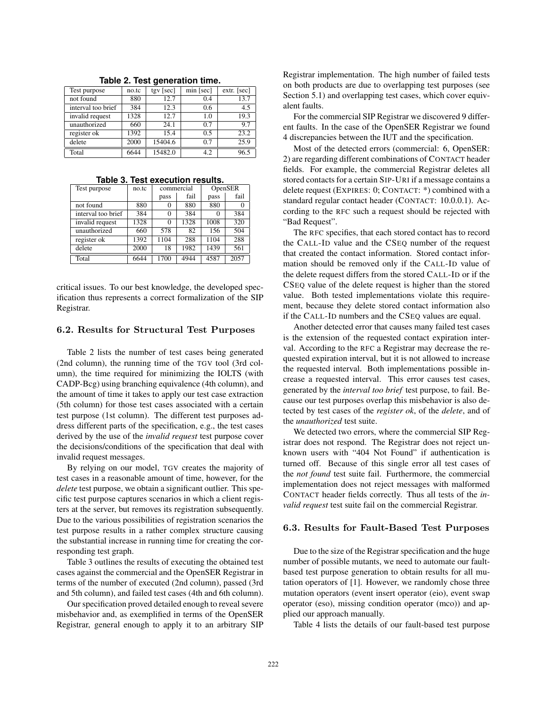| Test purpose       | no.tc | $tgv$ [sec] | $min$ [sec] | extr. [sec] |
|--------------------|-------|-------------|-------------|-------------|
| not found          | 880   | 12.7        | 0.4         | 13.7        |
| interval too brief | 384   | 12.3        | 0.6         | 4.5         |
| invalid request    | 1328  | 12.7        | 1.0         | 19.3        |
| unauthorized       | 660   | 24.1        | 0.7         | 9.7         |
| register ok        | 1392  | 15.4        | 0.5         | 23.2        |
| delete             | 2000  | 15404.6     | 0.7         | 25.9        |
| Total              | 6644  | 15482.0     | 42          | 96.5        |

**Table 2. Test generation time.**

|  | Table 3. Test execution results. |  |
|--|----------------------------------|--|
|  |                                  |  |

| Test purpose       | no.tc | commercial |      | OpenSER |      |  |
|--------------------|-------|------------|------|---------|------|--|
|                    |       | pass       | fail | pass    | fail |  |
| not found          | 880   |            | 880  | 880     |      |  |
| interval too brief | 384   |            | 384  |         | 384  |  |
| invalid request    | 1328  |            | 1328 | 1008    | 320  |  |
| unauthorized       | 660   | 578        | 82   | 156     | 504  |  |
| register ok        | 1392  | 1104       | 288  | 1104    | 288  |  |
| delete             | 2000  | 18         | 1982 | 1439    | 561  |  |
| Total              | 6644  | 1700       | 4944 | 4587    | 2057 |  |

critical issues. To our best knowledge, the developed specification thus represents a correct formalization of the SIP Registrar.

#### 6.2. Results for Structural Test Purposes

Table 2 lists the number of test cases being generated (2nd column), the running time of the TGV tool (3rd column), the time required for minimizing the IOLTS (with CADP-Bcg) using branching equivalence (4th column), and the amount of time it takes to apply our test case extraction (5th column) for those test cases associated with a certain test purpose (1st column). The different test purposes address different parts of the specification, e.g., the test cases derived by the use of the *invalid request* test purpose cover the decisions/conditions of the specification that deal with invalid request messages.

By relying on our model, TGV creates the majority of test cases in a reasonable amount of time, however, for the *delete* test purpose, we obtain a significant outlier. This specific test purpose captures scenarios in which a client registers at the server, but removes its registration subsequently. Due to the various possibilities of registration scenarios the test purpose results in a rather complex structure causing the substantial increase in running time for creating the corresponding test graph.

Table 3 outlines the results of executing the obtained test cases against the commercial and the OpenSER Registrar in terms of the number of executed (2nd column), passed (3rd and 5th column), and failed test cases (4th and 6th column).

Our specification proved detailed enough to reveal severe misbehavior and, as exemplified in terms of the OpenSER Registrar, general enough to apply it to an arbitrary SIP

Registrar implementation. The high number of failed tests on both products are due to overlapping test purposes (see Section 5.1) and overlapping test cases, which cover equivalent faults.

For the commercial SIP Registrar we discovered 9 different faults. In the case of the OpenSER Registrar we found 4 discrepancies between the IUT and the specification.

Most of the detected errors (commercial: 6, OpenSER: 2) are regarding different combinations of CONTACT header fields. For example, the commercial Registrar deletes all stored contacts for a certain SIP-URI if a message contains a delete request (EXPIRES: 0; CONTACT: \*) combined with a standard regular contact header (CONTACT: 10.0.0.1). According to the RFC such a request should be rejected with "Bad Request".

The RFC specifies, that each stored contact has to record the CALL-ID value and the CSEQ number of the request that created the contact information. Stored contact information should be removed only if the CALL-ID value of the delete request differs from the stored CALL-ID or if the CSEQ value of the delete request is higher than the stored value. Both tested implementations violate this requirement, because they delete stored contact information also if the CALL-ID numbers and the CSEQ values are equal.

Another detected error that causes many failed test cases is the extension of the requested contact expiration interval. According to the RFC a Registrar may decrease the requested expiration interval, but it is not allowed to increase the requested interval. Both implementations possible increase a requested interval. This error causes test cases, generated by the *interval too brief* test purpose, to fail. Because our test purposes overlap this misbehavior is also detected by test cases of the *register ok*, of the *delete*, and of the *unauthorized* test suite.

We detected two errors, where the commercial SIP Registrar does not respond. The Registrar does not reject unknown users with "404 Not Found" if authentication is turned off. Because of this single error all test cases of the *not found* test suite fail. Furthermore, the commercial implementation does not reject messages with malformed CONTACT header fields correctly. Thus all tests of the *invalid request* test suite fail on the commercial Registrar.

### 6.3. Results for Fault-Based Test Purposes

Due to the size of the Registrar specification and the huge number of possible mutants, we need to automate our faultbased test purpose generation to obtain results for all mutation operators of [1]. However, we randomly chose three mutation operators (event insert operator (eio), event swap operator (eso), missing condition operator (mco)) and applied our approach manually.

Table 4 lists the details of our fault-based test purpose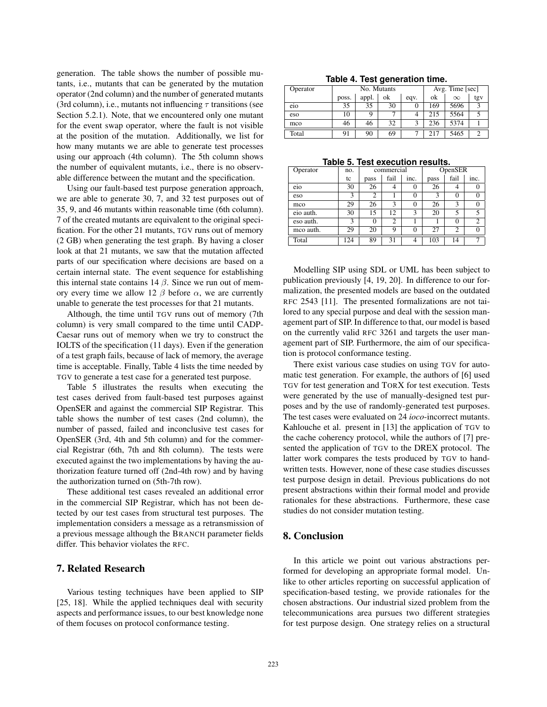generation. The table shows the number of possible mutants, i.e., mutants that can be generated by the mutation operator (2nd column) and the number of generated mutants (3rd column), i.e., mutants not influencing  $\tau$  transitions (see Section 5.2.1). Note, that we encountered only one mutant for the event swap operator, where the fault is not visible at the position of the mutation. Additionally, we list for how many mutants we are able to generate test processes using our approach (4th column). The 5th column shows the number of equivalent mutants, i.e., there is no observable difference between the mutant and the specification.

Using our fault-based test purpose generation approach, we are able to generate 30, 7, and 32 test purposes out of 35, 9, and 46 mutants within reasonable time (6th column). 7 of the created mutants are equivalent to the original specification. For the other 21 mutants, TGV runs out of memory (2 GB) when generating the test graph. By having a closer look at that 21 mutants, we saw that the mutation affected parts of our specification where decisions are based on a certain internal state. The event sequence for establishing this internal state contains 14  $\beta$ . Since we run out of memory every time we allow 12  $\beta$  before  $\alpha$ , we are currently unable to generate the test processes for that 21 mutants.

Although, the time until TGV runs out of memory (7th column) is very small compared to the time until CADP-Caesar runs out of memory when we try to construct the IOLTS of the specification (11 days). Even if the generation of a test graph fails, because of lack of memory, the average time is acceptable. Finally, Table 4 lists the time needed by TGV to generate a test case for a generated test purpose.

Table 5 illustrates the results when executing the test cases derived from fault-based test purposes against OpenSER and against the commercial SIP Registrar. This table shows the number of test cases (2nd column), the number of passed, failed and inconclusive test cases for OpenSER (3rd, 4th and 5th column) and for the commercial Registrar (6th, 7th and 8th column). The tests were executed against the two implementations by having the authorization feature turned off (2nd-4th row) and by having the authorization turned on (5th-7th row).

These additional test cases revealed an additional error in the commercial SIP Registrar, which has not been detected by our test cases from structural test purposes. The implementation considers a message as a retransmission of a previous message although the BRANCH parameter fields differ. This behavior violates the RFC.

### 7. Related Research

Various testing techniques have been applied to SIP [25, 18]. While the applied techniques deal with security aspects and performance issues, to our best knowledge none of them focuses on protocol conformance testing.

**Table 4. Test generation time.**

| Operator |       |       | No. Mutants | Avg. Time $[sec]$ |     |          |     |
|----------|-------|-------|-------------|-------------------|-----|----------|-----|
|          | poss. | appl. | ok          | eqv.              | ok  | $\infty$ | tgv |
| eio      | 35    | 35    | 30          | $\theta$          | 169 | 5696     |     |
| eso      | 10    | Q     |             | 4                 | 215 | 5564     |     |
| mco      | 46    | 46    | 32          |                   | 236 | 5374     |     |
| Total    | 91    | 90    | 69          |                   | 217 | 5465     |     |

**Table 5. Test execution results.**

| Operator  | no. | commercial     |                |          | OpenSER |          |      |
|-----------|-----|----------------|----------------|----------|---------|----------|------|
|           | tc  | pass           | fail           | inc.     | pass    | fail     | inc. |
| eio       | 30  | 26             |                | 0        | 26      | 4        |      |
| eso       | 3   | $\overline{c}$ |                | $\Omega$ | 3       | 0        |      |
| mco       | 29  | 26             | 3              | 0        | 26      | 3        |      |
| eio auth. | 30  | 15             | 12             | 3        | 20      | 5        |      |
| eso auth. | 3   | $_{0}$         | $\overline{c}$ |          |         | $\theta$ | 2    |
| mco auth. | 29  | 20             | 9              | $\theta$ | 27      | 2        | 0    |
| Total     | 124 | 89             | 31             | 4        | 103     | 14       |      |

Modelling SIP using SDL or UML has been subject to publication previously [4, 19, 20]. In difference to our formalization, the presented models are based on the outdated RFC 2543 [11]. The presented formalizations are not tailored to any special purpose and deal with the session management part of SIP. In difference to that, our model is based on the currently valid RFC 3261 and targets the user management part of SIP. Furthermore, the aim of our specification is protocol conformance testing.

There exist various case studies on using TGV for automatic test generation. For example, the authors of [6] used TGV for test generation and TORX for test execution. Tests were generated by the use of manually-designed test purposes and by the use of randomly-generated test purposes. The test cases were evaluated on 24 *ioco*-incorrect mutants. Kahlouche et al. present in [13] the application of TGV to the cache coherency protocol, while the authors of [7] presented the application of TGV to the DREX protocol. The latter work compares the tests produced by TGV to handwritten tests. However, none of these case studies discusses test purpose design in detail. Previous publications do not present abstractions within their formal model and provide rationales for these abstractions. Furthermore, these case studies do not consider mutation testing.

# 8. Conclusion

In this article we point out various abstractions performed for developing an appropriate formal model. Unlike to other articles reporting on successful application of specification-based testing, we provide rationales for the chosen abstractions. Our industrial sized problem from the telecommunications area pursues two different strategies for test purpose design. One strategy relies on a structural